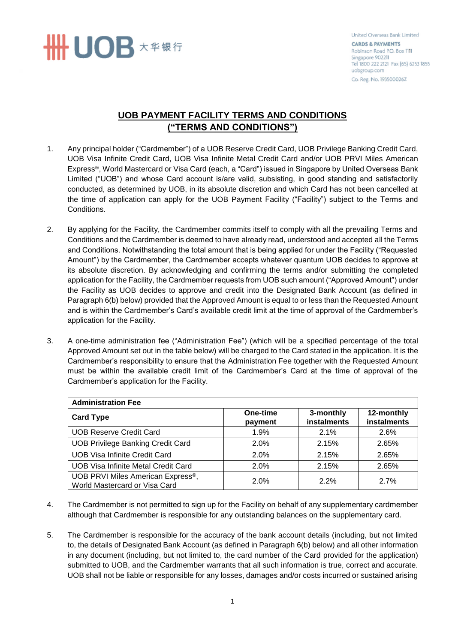

United Overseas Bank Limited **CARDS & PAYMENTS** Robinson Road P.O. Box 1111 Singapore 902211 Tel 1800 222 2121 Fax (65) 6253 1855 uobgroup.com Co. Reg. No. 193500026Z

## **UOB PAYMENT FACILITY TERMS AND CONDITIONS ("TERMS AND CONDITIONS")**

- 1. Any principal holder ("Cardmember") of a UOB Reserve Credit Card, UOB Privilege Banking Credit Card, UOB Visa Infinite Credit Card, UOB Visa Infinite Metal Credit Card and/or UOB PRVI Miles American Express®, World Mastercard or Visa Card (each, a "Card") issued in Singapore by United Overseas Bank Limited ("UOB") and whose Card account is/are valid, subsisting, in good standing and satisfactorily conducted, as determined by UOB, in its absolute discretion and which Card has not been cancelled at the time of application can apply for the UOB Payment Facility ("Facility") subject to the Terms and Conditions.
- 2. By applying for the Facility, the Cardmember commits itself to comply with all the prevailing Terms and Conditions and the Cardmember is deemed to have already read, understood and accepted all the Terms and Conditions. Notwithstanding the total amount that is being applied for under the Facility ("Requested Amount") by the Cardmember, the Cardmember accepts whatever quantum UOB decides to approve at its absolute discretion. By acknowledging and confirming the terms and/or submitting the completed application for the Facility, the Cardmember requests from UOB such amount ("Approved Amount") under the Facility as UOB decides to approve and credit into the Designated Bank Account (as defined in Paragraph 6(b) below) provided that the Approved Amount is equal to or less than the Requested Amount and is within the Cardmember's Card's available credit limit at the time of approval of the Cardmember's application for the Facility.
- 3. A one-time administration fee ("Administration Fee") (which will be a specified percentage of the total Approved Amount set out in the table below) will be charged to the Card stated in the application. It is the Cardmember's responsibility to ensure that the Administration Fee together with the Requested Amount must be within the available credit limit of the Cardmember's Card at the time of approval of the Cardmember's application for the Facility.

| <b>Administration Fee</b>                                                       |                     |                          |                           |
|---------------------------------------------------------------------------------|---------------------|--------------------------|---------------------------|
| <b>Card Type</b>                                                                | One-time<br>payment | 3-monthly<br>instalments | 12-monthly<br>instalments |
| <b>UOB Reserve Credit Card</b>                                                  | 1.9%                | 2.1%                     | 2.6%                      |
| <b>UOB Privilege Banking Credit Card</b>                                        | 2.0%                | 2.15%                    | 2.65%                     |
| <b>UOB Visa Infinite Credit Card</b>                                            | 2.0%                | 2.15%                    | 2.65%                     |
| <b>UOB Visa Infinite Metal Credit Card</b>                                      | 2.0%                | 2.15%                    | 2.65%                     |
| UOB PRVI Miles American Express <sup>®</sup> ,<br>World Mastercard or Visa Card | 2.0%                | 2.2%                     | 2.7%                      |

- 4. The Cardmember is not permitted to sign up for the Facility on behalf of any supplementary cardmember although that Cardmember is responsible for any outstanding balances on the supplementary card.
- 5. The Cardmember is responsible for the accuracy of the bank account details (including, but not limited to, the details of Designated Bank Account (as defined in Paragraph 6(b) below) and all other information in any document (including, but not limited to, the card number of the Card provided for the application) submitted to UOB, and the Cardmember warrants that all such information is true, correct and accurate. UOB shall not be liable or responsible for any losses, damages and/or costs incurred or sustained arising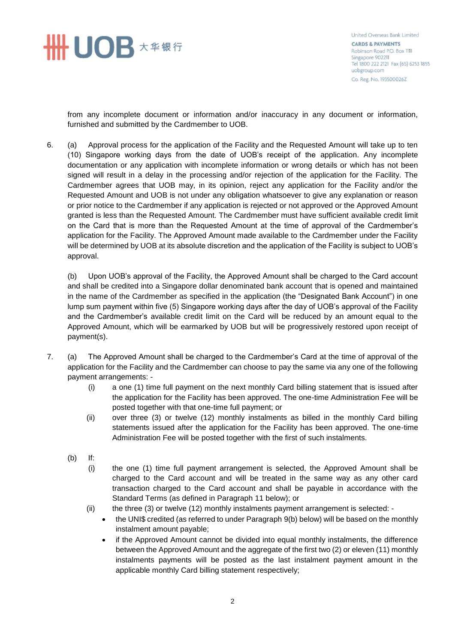

United Overseas Bank Limited **CARDS & PAYMENTS** Robinson Road P.O. Box 1111 Singapore 902211 Tel 1800 222 2121 Fax (65) 6253 1855 uobgroup.com Co. Reg. No. 193500026Z

from any incomplete document or information and/or inaccuracy in any document or information, furnished and submitted by the Cardmember to UOB.

6. (a) Approval process for the application of the Facility and the Requested Amount will take up to ten (10) Singapore working days from the date of UOB's receipt of the application. Any incomplete documentation or any application with incomplete information or wrong details or which has not been signed will result in a delay in the processing and/or rejection of the application for the Facility. The Cardmember agrees that UOB may, in its opinion, reject any application for the Facility and/or the Requested Amount and UOB is not under any obligation whatsoever to give any explanation or reason or prior notice to the Cardmember if any application is rejected or not approved or the Approved Amount granted is less than the Requested Amount. The Cardmember must have sufficient available credit limit on the Card that is more than the Requested Amount at the time of approval of the Cardmember's application for the Facility. The Approved Amount made available to the Cardmember under the Facility will be determined by UOB at its absolute discretion and the application of the Facility is subject to UOB's approval.

(b) Upon UOB's approval of the Facility, the Approved Amount shall be charged to the Card account and shall be credited into a Singapore dollar denominated bank account that is opened and maintained in the name of the Cardmember as specified in the application (the "Designated Bank Account") in one lump sum payment within five (5) Singapore working days after the day of UOB's approval of the Facility and the Cardmember's available credit limit on the Card will be reduced by an amount equal to the Approved Amount, which will be earmarked by UOB but will be progressively restored upon receipt of payment(s).

- 7. (a) The Approved Amount shall be charged to the Cardmember's Card at the time of approval of the application for the Facility and the Cardmember can choose to pay the same via any one of the following payment arrangements: -
	- (i) a one (1) time full payment on the next monthly Card billing statement that is issued after the application for the Facility has been approved. The one-time Administration Fee will be posted together with that one-time full payment; or
	- (ii) over three (3) or twelve (12) monthly instalments as billed in the monthly Card billing statements issued after the application for the Facility has been approved. The one-time Administration Fee will be posted together with the first of such instalments.
	- (b) If:
		- (i) the one (1) time full payment arrangement is selected, the Approved Amount shall be charged to the Card account and will be treated in the same way as any other card transaction charged to the Card account and shall be payable in accordance with the Standard Terms (as defined in Paragraph 11 below); or
		- (ii) the three (3) or twelve (12) monthly instalments payment arrangement is selected:
			- the UNI\$ credited (as referred to under Paragraph 9(b) below) will be based on the monthly instalment amount payable;
			- if the Approved Amount cannot be divided into equal monthly instalments, the difference between the Approved Amount and the aggregate of the first two (2) or eleven (11) monthly instalments payments will be posted as the last instalment payment amount in the applicable monthly Card billing statement respectively;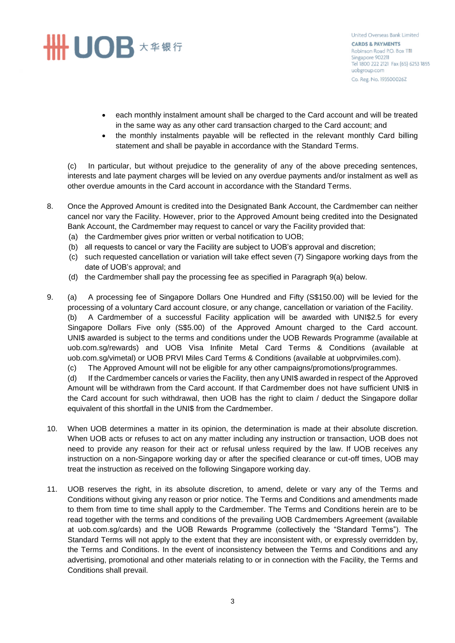## **SHINDB** ★ # # #

United Overseas Bank Limited **CARDS & PAYMENTS** Robinson Road P.O. Box 1111 Singapore 902211 Tel 1800 222 2121 Fax (65) 6253 1855 uobgroup.com Co. Reg. No. 193500026Z

- each monthly instalment amount shall be charged to the Card account and will be treated in the same way as any other card transaction charged to the Card account; and
- the monthly instalments payable will be reflected in the relevant monthly Card billing statement and shall be payable in accordance with the Standard Terms.

(c) In particular, but without prejudice to the generality of any of the above preceding sentences, interests and late payment charges will be levied on any overdue payments and/or instalment as well as other overdue amounts in the Card account in accordance with the Standard Terms.

- 8. Once the Approved Amount is credited into the Designated Bank Account, the Cardmember can neither cancel nor vary the Facility. However, prior to the Approved Amount being credited into the Designated Bank Account, the Cardmember may request to cancel or vary the Facility provided that:
	- (a) the Cardmember gives prior written or verbal notification to UOB;
	- (b) all requests to cancel or vary the Facility are subject to UOB's approval and discretion;
	- (c) such requested cancellation or variation will take effect seven (7) Singapore working days from the date of UOB's approval; and
	- (d) the Cardmember shall pay the processing fee as specified in Paragraph 9(a) below.
- 9. (a) A processing fee of Singapore Dollars One Hundred and Fifty (S\$150.00) will be levied for the processing of a voluntary Card account closure, or any change, cancellation or variation of the Facility. (b) A Cardmember of a successful Facility application will be awarded with UNI\$2.5 for every Singapore Dollars Five only (S\$5.00) of the Approved Amount charged to the Card account. UNI\$ awarded is subject to the terms and conditions under the UOB Rewards Programme (available at uob.com.sg/rewards) and UOB Visa Infinite Metal Card Terms & Conditions (available at uob.com.sg/vimetal) or UOB PRVI Miles Card Terms & Conditions (available at uobprvimiles.com).
	- (c) The Approved Amount will not be eligible for any other campaigns/promotions/programmes.

(d) If the Cardmember cancels or varies the Facility, then any UNI\$ awarded in respect of the Approved Amount will be withdrawn from the Card account. If that Cardmember does not have sufficient UNI\$ in the Card account for such withdrawal, then UOB has the right to claim / deduct the Singapore dollar equivalent of this shortfall in the UNI\$ from the Cardmember.

- 10. When UOB determines a matter in its opinion, the determination is made at their absolute discretion. When UOB acts or refuses to act on any matter including any instruction or transaction, UOB does not need to provide any reason for their act or refusal unless required by the law. If UOB receives any instruction on a non-Singapore working day or after the specified clearance or cut-off times, UOB may treat the instruction as received on the following Singapore working day.
- 11. UOB reserves the right, in its absolute discretion, to amend, delete or vary any of the Terms and Conditions without giving any reason or prior notice. The Terms and Conditions and amendments made to them from time to time shall apply to the Cardmember. The Terms and Conditions herein are to be read together with the terms and conditions of the prevailing UOB Cardmembers Agreement (available at uob.com.sg/cards) and the UOB Rewards Programme (collectively the "Standard Terms"). The Standard Terms will not apply to the extent that they are inconsistent with, or expressly overridden by, the Terms and Conditions. In the event of inconsistency between the Terms and Conditions and any advertising, promotional and other materials relating to or in connection with the Facility, the Terms and Conditions shall prevail.